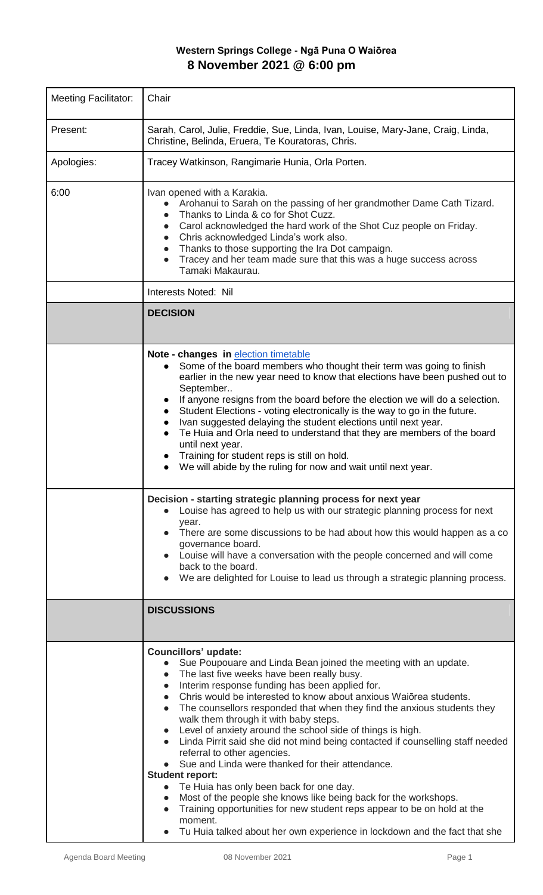## **Western Springs College - Ngā Puna O Waiōrea 8 November 2021 @ 6:00 pm**

| <b>Meeting Facilitator:</b> | Chair                                                                                                                                                                                                                                                                                                                                                                                                                                                                                                                                                                                                                                                                                                                                                                                                                                                                                                                                                                                                                     |
|-----------------------------|---------------------------------------------------------------------------------------------------------------------------------------------------------------------------------------------------------------------------------------------------------------------------------------------------------------------------------------------------------------------------------------------------------------------------------------------------------------------------------------------------------------------------------------------------------------------------------------------------------------------------------------------------------------------------------------------------------------------------------------------------------------------------------------------------------------------------------------------------------------------------------------------------------------------------------------------------------------------------------------------------------------------------|
| Present:                    | Sarah, Carol, Julie, Freddie, Sue, Linda, Ivan, Louise, Mary-Jane, Craig, Linda,<br>Christine, Belinda, Eruera, Te Kouratoras, Chris.                                                                                                                                                                                                                                                                                                                                                                                                                                                                                                                                                                                                                                                                                                                                                                                                                                                                                     |
| Apologies:                  | Tracey Watkinson, Rangimarie Hunia, Orla Porten.                                                                                                                                                                                                                                                                                                                                                                                                                                                                                                                                                                                                                                                                                                                                                                                                                                                                                                                                                                          |
| 6:00                        | Ivan opened with a Karakia.<br>Arohanui to Sarah on the passing of her grandmother Dame Cath Tizard.<br>Thanks to Linda & co for Shot Cuzz.<br>Carol acknowledged the hard work of the Shot Cuz people on Friday.<br>$\bullet$<br>Chris acknowledged Linda's work also.<br>• Thanks to those supporting the Ira Dot campaign.<br>Tracey and her team made sure that this was a huge success across<br>$\bullet$<br>Tamaki Makaurau.                                                                                                                                                                                                                                                                                                                                                                                                                                                                                                                                                                                       |
|                             | Interests Noted: Nil                                                                                                                                                                                                                                                                                                                                                                                                                                                                                                                                                                                                                                                                                                                                                                                                                                                                                                                                                                                                      |
|                             | <b>DECISION</b>                                                                                                                                                                                                                                                                                                                                                                                                                                                                                                                                                                                                                                                                                                                                                                                                                                                                                                                                                                                                           |
|                             | Note - changes in election timetable<br>Some of the board members who thought their term was going to finish<br>$\bullet$<br>earlier in the new year need to know that elections have been pushed out to<br>September<br>If anyone resigns from the board before the election we will do a selection.<br>Student Elections - voting electronically is the way to go in the future.<br>Ivan suggested delaying the student elections until next year.<br>Te Huia and Orla need to understand that they are members of the board<br>until next year.<br>Training for student reps is still on hold.<br>We will abide by the ruling for now and wait until next year.<br>Decision - starting strategic planning process for next year                                                                                                                                                                                                                                                                                        |
|                             | Louise has agreed to help us with our strategic planning process for next<br>year.<br>• There are some discussions to be had about how this would happen as a co<br>governance board.<br>Louise will have a conversation with the people concerned and will come<br>back to the board.<br>We are delighted for Louise to lead us through a strategic planning process.                                                                                                                                                                                                                                                                                                                                                                                                                                                                                                                                                                                                                                                    |
|                             | <b>DISCUSSIONS</b>                                                                                                                                                                                                                                                                                                                                                                                                                                                                                                                                                                                                                                                                                                                                                                                                                                                                                                                                                                                                        |
|                             | <b>Councillors' update:</b><br>Sue Poupouare and Linda Bean joined the meeting with an update.<br>The last five weeks have been really busy.<br>$\bullet$<br>Interim response funding has been applied for.<br>$\bullet$<br>Chris would be interested to know about anxious Waiorea students.<br>$\bullet$<br>The counsellors responded that when they find the anxious students they<br>$\bullet$<br>walk them through it with baby steps.<br>• Level of anxiety around the school side of things is high.<br>• Linda Pirrit said she did not mind being contacted if counselling staff needed<br>referral to other agencies.<br>Sue and Linda were thanked for their attendance.<br><b>Student report:</b><br>Te Huia has only been back for one day.<br>$\bullet$<br>Most of the people she knows like being back for the workshops.<br>$\bullet$<br>Training opportunities for new student reps appear to be on hold at the<br>moment.<br>• Tu Huia talked about her own experience in lockdown and the fact that she |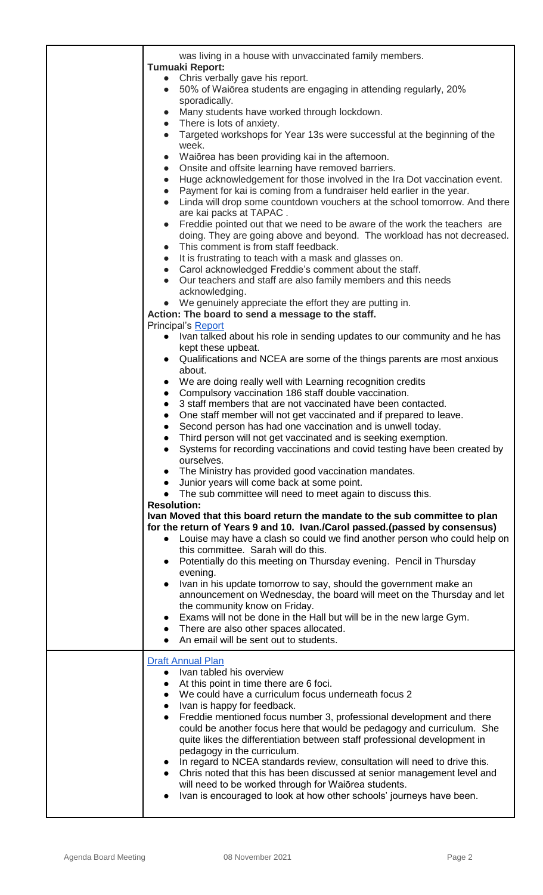| was living in a house with unvaccinated family members.                                                                                                           |
|-------------------------------------------------------------------------------------------------------------------------------------------------------------------|
| <b>Tumuaki Report:</b><br>Chris verbally gave his report.<br>$\bullet$                                                                                            |
| 50% of Waiōrea students are engaging in attending regularly, 20%<br>$\bullet$                                                                                     |
| sporadically.                                                                                                                                                     |
| Many students have worked through lockdown.<br>$\bullet$                                                                                                          |
| There is lots of anxiety.<br>$\bullet$                                                                                                                            |
| Targeted workshops for Year 13s were successful at the beginning of the<br>$\bullet$                                                                              |
| week.<br>Waiōrea has been providing kai in the afternoon.<br>$\bullet$                                                                                            |
| Onsite and offsite learning have removed barriers.<br>$\bullet$                                                                                                   |
| Huge acknowledgement for those involved in the Ira Dot vaccination event.<br>$\bullet$                                                                            |
| Payment for kai is coming from a fundraiser held earlier in the year.<br>$\bullet$                                                                                |
| Linda will drop some countdown vouchers at the school tomorrow. And there<br>$\bullet$                                                                            |
| are kai packs at TAPAC.                                                                                                                                           |
| Freddie pointed out that we need to be aware of the work the teachers are<br>$\bullet$                                                                            |
| doing. They are going above and beyond. The workload has not decreased.<br>This comment is from staff feedback.<br>$\bullet$                                      |
| It is frustrating to teach with a mask and glasses on.<br>$\bullet$                                                                                               |
| Carol acknowledged Freddie's comment about the staff.<br>$\bullet$                                                                                                |
| Our teachers and staff are also family members and this needs<br>$\bullet$                                                                                        |
| acknowledging.                                                                                                                                                    |
| We genuinely appreciate the effort they are putting in.                                                                                                           |
| Action: The board to send a message to the staff.                                                                                                                 |
| Principal's Report<br>Ivan talked about his role in sending updates to our community and he has<br>$\bullet$                                                      |
| kept these upbeat.                                                                                                                                                |
| Qualifications and NCEA are some of the things parents are most anxious<br>$\bullet$                                                                              |
| about.                                                                                                                                                            |
| We are doing really well with Learning recognition credits<br>$\bullet$                                                                                           |
| Compulsory vaccination 186 staff double vaccination.<br>$\bullet$<br>3 staff members that are not vaccinated have been contacted.                                 |
| $\bullet$<br>One staff member will not get vaccinated and if prepared to leave.<br>$\bullet$                                                                      |
| Second person has had one vaccination and is unwell today.                                                                                                        |
| Third person will not get vaccinated and is seeking exemption.                                                                                                    |
| Systems for recording vaccinations and covid testing have been created by                                                                                         |
| ourselves.                                                                                                                                                        |
| The Ministry has provided good vaccination mandates.<br>$\bullet$                                                                                                 |
| Junior years will come back at some point.<br>The sub committee will need to meet again to discuss this.<br>$\bullet$                                             |
| <b>Resolution:</b>                                                                                                                                                |
| Ivan Moved that this board return the mandate to the sub committee to plan                                                                                        |
| for the return of Years 9 and 10. Ivan./Carol passed.(passed by consensus)                                                                                        |
| Louise may have a clash so could we find another person who could help on<br>$\bullet$                                                                            |
| this committee. Sarah will do this.<br>Potentially do this meeting on Thursday evening. Pencil in Thursday                                                        |
| $\bullet$<br>evening.                                                                                                                                             |
| Ivan in his update tomorrow to say, should the government make an<br>$\bullet$                                                                                    |
| announcement on Wednesday, the board will meet on the Thursday and let                                                                                            |
| the community know on Friday.                                                                                                                                     |
| Exams will not be done in the Hall but will be in the new large Gym.<br>$\bullet$                                                                                 |
| There are also other spaces allocated.<br>An email will be sent out to students.                                                                                  |
|                                                                                                                                                                   |
| <b>Draft Annual Plan</b>                                                                                                                                          |
| Ivan tabled his overview<br>$\bullet$                                                                                                                             |
| At this point in time there are 6 foci.<br>$\bullet$<br>We could have a curriculum focus underneath focus 2                                                       |
| $\bullet$<br>Ivan is happy for feedback.<br>$\bullet$                                                                                                             |
| Freddie mentioned focus number 3, professional development and there<br>$\bullet$                                                                                 |
| could be another focus here that would be pedagogy and curriculum. She                                                                                            |
| quite likes the differentiation between staff professional development in                                                                                         |
| pedagogy in the curriculum.                                                                                                                                       |
| In regard to NCEA standards review, consultation will need to drive this.<br>$\bullet$<br>Chris noted that this has been discussed at senior management level and |
| $\bullet$<br>will need to be worked through for Waiorea students.                                                                                                 |
| Ivan is encouraged to look at how other schools' journeys have been.<br>$\bullet$                                                                                 |
|                                                                                                                                                                   |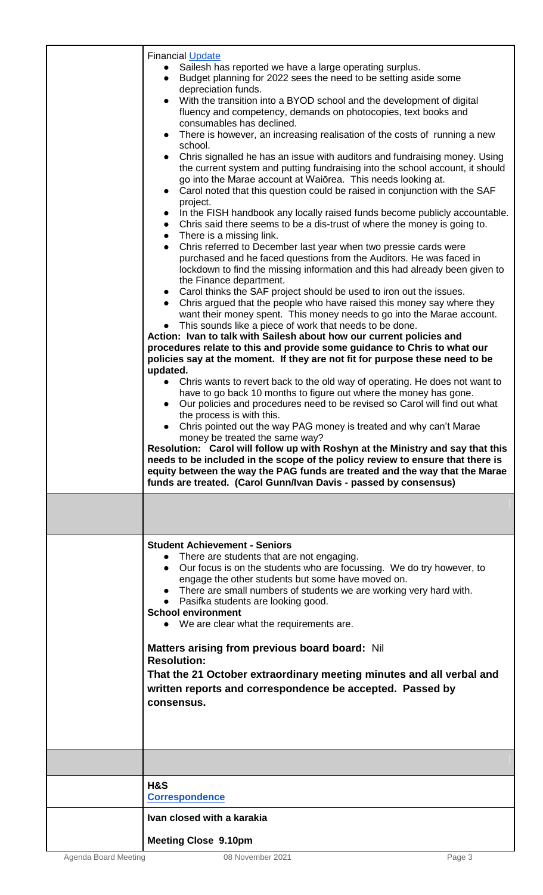| <b>Financial Update</b><br>Sailesh has reported we have a large operating surplus.<br>Budget planning for 2022 sees the need to be setting aside some<br>depreciation funds.<br>With the transition into a BYOD school and the development of digital<br>fluency and competency, demands on photocopies, text books and<br>consumables has declined.<br>There is however, an increasing realisation of the costs of running a new<br>school.<br>Chris signalled he has an issue with auditors and fundraising money. Using<br>the current system and putting fundraising into the school account, it should<br>go into the Marae account at Waiorea. This needs looking at.<br>Carol noted that this question could be raised in conjunction with the SAF<br>$\bullet$<br>project.<br>In the FISH handbook any locally raised funds become publicly accountable.<br>$\bullet$<br>Chris said there seems to be a dis-trust of where the money is going to.<br>$\bullet$<br>$\bullet$ There is a missing link.<br>Chris referred to December last year when two pressie cards were<br>$\bullet$<br>purchased and he faced questions from the Auditors. He was faced in<br>lockdown to find the missing information and this had already been given to<br>the Finance department.<br>• Carol thinks the SAF project should be used to iron out the issues.<br>Chris argued that the people who have raised this money say where they<br>$\bullet$<br>want their money spent. This money needs to go into the Marae account.<br>This sounds like a piece of work that needs to be done.<br>Action: Ivan to talk with Sailesh about how our current policies and<br>procedures relate to this and provide some guidance to Chris to what our<br>policies say at the moment. If they are not fit for purpose these need to be<br>updated.<br>Chris wants to revert back to the old way of operating. He does not want to<br>have to go back 10 months to figure out where the money has gone.<br>Our policies and procedures need to be revised so Carol will find out what<br>$\bullet$<br>the process is with this.<br>Chris pointed out the way PAG money is treated and why can't Marae<br>money be treated the same way?<br>Resolution: Carol will follow up with Roshyn at the Ministry and say that this<br>needs to be included in the scope of the policy review to ensure that there is<br>equity between the way the PAG funds are treated and the way that the Marae<br>funds are treated. (Carol Gunn/Ivan Davis - passed by consensus) |
|------------------------------------------------------------------------------------------------------------------------------------------------------------------------------------------------------------------------------------------------------------------------------------------------------------------------------------------------------------------------------------------------------------------------------------------------------------------------------------------------------------------------------------------------------------------------------------------------------------------------------------------------------------------------------------------------------------------------------------------------------------------------------------------------------------------------------------------------------------------------------------------------------------------------------------------------------------------------------------------------------------------------------------------------------------------------------------------------------------------------------------------------------------------------------------------------------------------------------------------------------------------------------------------------------------------------------------------------------------------------------------------------------------------------------------------------------------------------------------------------------------------------------------------------------------------------------------------------------------------------------------------------------------------------------------------------------------------------------------------------------------------------------------------------------------------------------------------------------------------------------------------------------------------------------------------------------------------------------------------------------------------------------------------------------------------------------------------------------------------------------------------------------------------------------------------------------------------------------------------------------------------------------------------------------------------------------------------------------------------------------------------------------------------------------------------------------------------------------------------------------------------------------------------------|
| <b>Student Achievement - Seniors</b><br>There are students that are not engaging.<br>Our focus is on the students who are focussing. We do try however, to<br>engage the other students but some have moved on.<br>• There are small numbers of students we are working very hard with.<br>• Pasifka students are looking good.<br><b>School environment</b><br>• We are clear what the requirements are.<br>Matters arising from previous board board: Nil<br><b>Resolution:</b><br>That the 21 October extraordinary meeting minutes and all verbal and<br>written reports and correspondence be accepted. Passed by<br>consensus.                                                                                                                                                                                                                                                                                                                                                                                                                                                                                                                                                                                                                                                                                                                                                                                                                                                                                                                                                                                                                                                                                                                                                                                                                                                                                                                                                                                                                                                                                                                                                                                                                                                                                                                                                                                                                                                                                                           |
|                                                                                                                                                                                                                                                                                                                                                                                                                                                                                                                                                                                                                                                                                                                                                                                                                                                                                                                                                                                                                                                                                                                                                                                                                                                                                                                                                                                                                                                                                                                                                                                                                                                                                                                                                                                                                                                                                                                                                                                                                                                                                                                                                                                                                                                                                                                                                                                                                                                                                                                                                |
| <b>H&amp;S</b><br><b>Correspondence</b>                                                                                                                                                                                                                                                                                                                                                                                                                                                                                                                                                                                                                                                                                                                                                                                                                                                                                                                                                                                                                                                                                                                                                                                                                                                                                                                                                                                                                                                                                                                                                                                                                                                                                                                                                                                                                                                                                                                                                                                                                                                                                                                                                                                                                                                                                                                                                                                                                                                                                                        |
| Ivan closed with a karakia                                                                                                                                                                                                                                                                                                                                                                                                                                                                                                                                                                                                                                                                                                                                                                                                                                                                                                                                                                                                                                                                                                                                                                                                                                                                                                                                                                                                                                                                                                                                                                                                                                                                                                                                                                                                                                                                                                                                                                                                                                                                                                                                                                                                                                                                                                                                                                                                                                                                                                                     |
| <b>Meeting Close 9.10pm</b>                                                                                                                                                                                                                                                                                                                                                                                                                                                                                                                                                                                                                                                                                                                                                                                                                                                                                                                                                                                                                                                                                                                                                                                                                                                                                                                                                                                                                                                                                                                                                                                                                                                                                                                                                                                                                                                                                                                                                                                                                                                                                                                                                                                                                                                                                                                                                                                                                                                                                                                    |